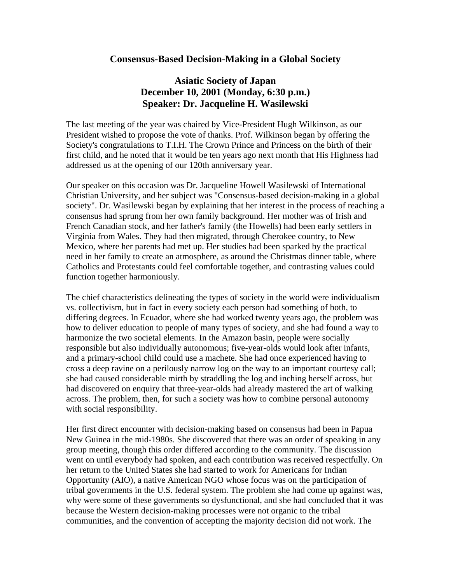## **Consensus-Based Decision-Making in a Global Society**

## **Asiatic Society of Japan December 10, 2001 (Monday, 6:30 p.m.) Speaker: Dr. Jacqueline H. Wasilewski**

The last meeting of the year was chaired by Vice-President Hugh Wilkinson, as our President wished to propose the vote of thanks. Prof. Wilkinson began by offering the Society's congratulations to T.I.H. The Crown Prince and Princess on the birth of their first child, and he noted that it would be ten years ago next month that His Highness had addressed us at the opening of our 120th anniversary year.

Our speaker on this occasion was Dr. Jacqueline Howell Wasilewski of International Christian University, and her subject was "Consensus-based decision-making in a global society". Dr. Wasilewski began by explaining that her interest in the process of reaching a consensus had sprung from her own family background. Her mother was of Irish and French Canadian stock, and her father's family (the Howells) had been early settlers in Virginia from Wales. They had then migrated, through Cherokee country, to New Mexico, where her parents had met up. Her studies had been sparked by the practical need in her family to create an atmosphere, as around the Christmas dinner table, where Catholics and Protestants could feel comfortable together, and contrasting values could function together harmoniously.

The chief characteristics delineating the types of society in the world were individualism vs. collectivism, but in fact in every society each person had something of both, to differing degrees. In Ecuador, where she had worked twenty years ago, the problem was how to deliver education to people of many types of society, and she had found a way to harmonize the two societal elements. In the Amazon basin, people were socially responsible but also individually autonomous; five-year-olds would look after infants, and a primary-school child could use a machete. She had once experienced having to cross a deep ravine on a perilously narrow log on the way to an important courtesy call; she had caused considerable mirth by straddling the log and inching herself across, but had discovered on enquiry that three-year-olds had already mastered the art of walking across. The problem, then, for such a society was how to combine personal autonomy with social responsibility.

Her first direct encounter with decision-making based on consensus had been in Papua New Guinea in the mid-1980s. She discovered that there was an order of speaking in any group meeting, though this order differed according to the community. The discussion went on until everybody had spoken, and each contribution was received respectfully. On her return to the United States she had started to work for Americans for Indian Opportunity (AIO), a native American NGO whose focus was on the participation of tribal governments in the U.S. federal system. The problem she had come up against was, why were some of these governments so dysfunctional, and she had concluded that it was because the Western decision-making processes were not organic to the tribal communities, and the convention of accepting the majority decision did not work. The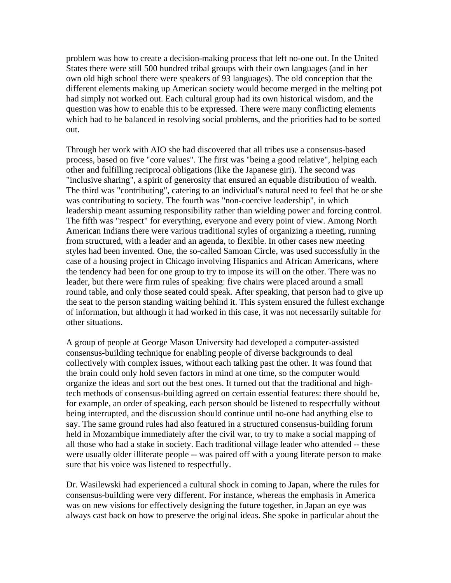problem was how to create a decision-making process that left no-one out. In the United States there were still 500 hundred tribal groups with their own languages (and in her own old high school there were speakers of 93 languages). The old conception that the different elements making up American society would become merged in the melting pot had simply not worked out. Each cultural group had its own historical wisdom, and the question was how to enable this to be expressed. There were many conflicting elements which had to be balanced in resolving social problems, and the priorities had to be sorted out.

Through her work with AIO she had discovered that all tribes use a consensus-based process, based on five "core values". The first was "being a good relative", helping each other and fulfilling reciprocal obligations (like the Japanese giri). The second was "inclusive sharing", a spirit of generosity that ensured an equable distribution of wealth. The third was "contributing", catering to an individual's natural need to feel that he or she was contributing to society. The fourth was "non-coercive leadership", in which leadership meant assuming responsibility rather than wielding power and forcing control. The fifth was "respect" for everything, everyone and every point of view. Among North American Indians there were various traditional styles of organizing a meeting, running from structured, with a leader and an agenda, to flexible. In other cases new meeting styles had been invented. One, the so-called Samoan Circle, was used successfully in the case of a housing project in Chicago involving Hispanics and African Americans, where the tendency had been for one group to try to impose its will on the other. There was no leader, but there were firm rules of speaking: five chairs were placed around a small round table, and only those seated could speak. After speaking, that person had to give up the seat to the person standing waiting behind it. This system ensured the fullest exchange of information, but although it had worked in this case, it was not necessarily suitable for other situations.

A group of people at George Mason University had developed a computer-assisted consensus-building technique for enabling people of diverse backgrounds to deal collectively with complex issues, without each talking past the other. It was found that the brain could only hold seven factors in mind at one time, so the computer would organize the ideas and sort out the best ones. It turned out that the traditional and hightech methods of consensus-building agreed on certain essential features: there should be, for example, an order of speaking, each person should be listened to respectfully without being interrupted, and the discussion should continue until no-one had anything else to say. The same ground rules had also featured in a structured consensus-building forum held in Mozambique immediately after the civil war, to try to make a social mapping of all those who had a stake in society. Each traditional village leader who attended -- these were usually older illiterate people -- was paired off with a young literate person to make sure that his voice was listened to respectfully.

Dr. Wasilewski had experienced a cultural shock in coming to Japan, where the rules for consensus-building were very different. For instance, whereas the emphasis in America was on new visions for effectively designing the future together, in Japan an eye was always cast back on how to preserve the original ideas. She spoke in particular about the